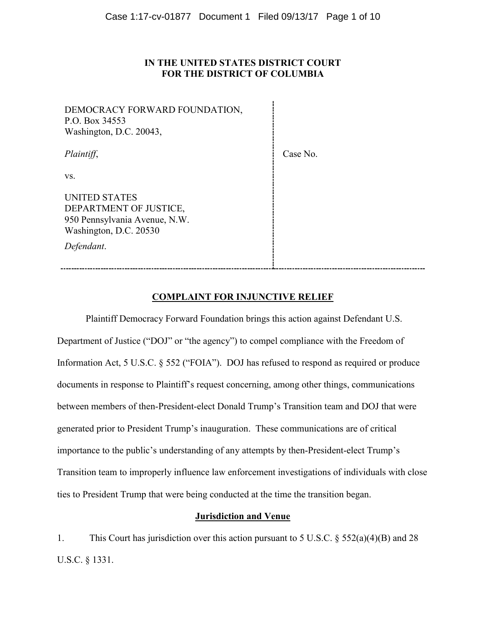## **IN THE UNITED STATES DISTRICT COURT FOR THE DISTRICT OF COLUMBIA**

DEMOCRACY FORWARD FOUNDATION, P.O. Box 34553 Washington, D.C. 20043, *Plaintiff*, vs. UNITED STATES DEPARTMENT OF JUSTICE, 950 Pennsylvania Avenue, N.W. Washington, D.C. 20530 *Defendant*. Case No.

# **COMPLAINT FOR INJUNCTIVE RELIEF**

Plaintiff Democracy Forward Foundation brings this action against Defendant U.S. Department of Justice ("DOJ" or "the agency") to compel compliance with the Freedom of Information Act, 5 U.S.C. § 552 ("FOIA"). DOJ has refused to respond as required or produce documents in response to Plaintiff's request concerning, among other things, communications between members of then-President-elect Donald Trump's Transition team and DOJ that were generated prior to President Trump's inauguration. These communications are of critical importance to the public's understanding of any attempts by then-President-elect Trump's Transition team to improperly influence law enforcement investigations of individuals with close ties to President Trump that were being conducted at the time the transition began.

## **Jurisdiction and Venue**

1. This Court has jurisdiction over this action pursuant to 5 U.S.C. § 552(a)(4)(B) and 28 U.S.C. § 1331.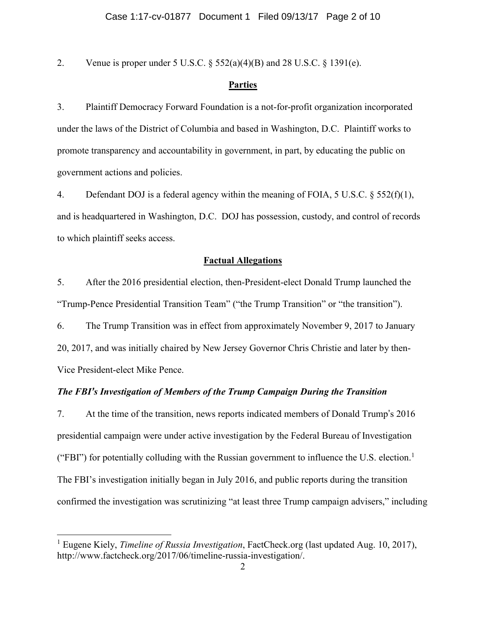2. Venue is proper under 5 U.S.C.  $\S 552(a)(4)(B)$  and 28 U.S.C.  $\S 1391(e)$ .

## **Parties**

3. Plaintiff Democracy Forward Foundation is a not-for-profit organization incorporated under the laws of the District of Columbia and based in Washington, D.C. Plaintiff works to promote transparency and accountability in government, in part, by educating the public on government actions and policies.

4. Defendant DOJ is a federal agency within the meaning of FOIA, 5 U.S.C.  $\S 552(f)(1)$ , and is headquartered in Washington, D.C. DOJ has possession, custody, and control of records to which plaintiff seeks access.

## **Factual Allegations**

5. After the 2016 presidential election, then-President-elect Donald Trump launched the "Trump-Pence Presidential Transition Team" ("the Trump Transition" or "the transition").

6. The Trump Transition was in effect from approximately November 9, 2017 to January 20, 2017, and was initially chaired by New Jersey Governor Chris Christie and later by then-Vice President-elect Mike Pence.

## *The FBI's Investigation of Members of the Trump Campaign During the Transition*

7. At the time of the transition, news reports indicated members of Donald Trump's 2016 presidential campaign were under active investigation by the Federal Bureau of Investigation ("FBI") for potentially colluding with the Russian government to influence the U.S. election.<sup>1</sup> The FBI's investigation initially began in July 2016, and public reports during the transition confirmed the investigation was scrutinizing "at least three Trump campaign advisers," including

l

<sup>1</sup> Eugene Kiely, *Timeline of Russia Investigation*, FactCheck.org (last updated Aug. 10, 2017), http://www.factcheck.org/2017/06/timeline-russia-investigation/.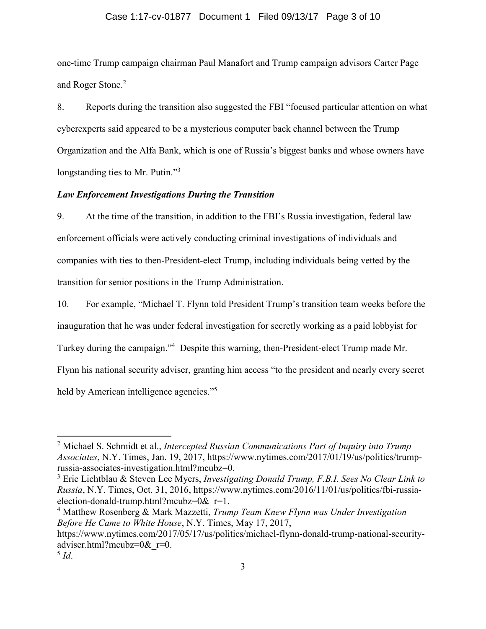#### Case 1:17-cv-01877 Document 1 Filed 09/13/17 Page 3 of 10

one-time Trump campaign chairman Paul Manafort and Trump campaign advisors Carter Page and Roger Stone.<sup>2</sup>

8. Reports during the transition also suggested the FBI "focused particular attention on what cyberexperts said appeared to be a mysterious computer back channel between the Trump Organization and the Alfa Bank, which is one of Russia's biggest banks and whose owners have longstanding ties to Mr. Putin."<sup>3</sup>

## *Law Enforcement Investigations During the Transition*

9. At the time of the transition, in addition to the FBI's Russia investigation, federal law enforcement officials were actively conducting criminal investigations of individuals and companies with ties to then-President-elect Trump, including individuals being vetted by the transition for senior positions in the Trump Administration.

10. For example, "Michael T. Flynn told President Trump's transition team weeks before the inauguration that he was under federal investigation for secretly working as a paid lobbyist for Turkey during the campaign."<sup>4</sup> Despite this warning, then-President-elect Trump made Mr. Flynn his national security adviser, granting him access "to the president and nearly every secret held by American intelligence agencies."<sup>5</sup>

<sup>4</sup> Matthew Rosenberg & Mark Mazzetti, *Trump Team Knew Flynn was Under Investigation Before He Came to White House*, N.Y. Times, May 17, 2017, https://www.nytimes.com/2017/05/17/us/politics/michael-flynn-donald-trump-national-securityadviser.html?mcubz=0&\_r=0.

 $\overline{a}$ 

<sup>2</sup> Michael S. Schmidt et al., *Intercepted Russian Communications Part of Inquiry into Trump Associates*, N.Y. Times, Jan. 19, 2017, https://www.nytimes.com/2017/01/19/us/politics/trumprussia-associates-investigation.html?mcubz=0.

<sup>3</sup> Eric Lichtblau & Steven Lee Myers, *Investigating Donald Trump, F.B.I. Sees No Clear Link to Russia*, N.Y. Times, Oct. 31, 2016, https://www.nytimes.com/2016/11/01/us/politics/fbi-russiaelection-donald-trump.html?mcubz=0 $&$ r=1.

 $^5$  *Id.*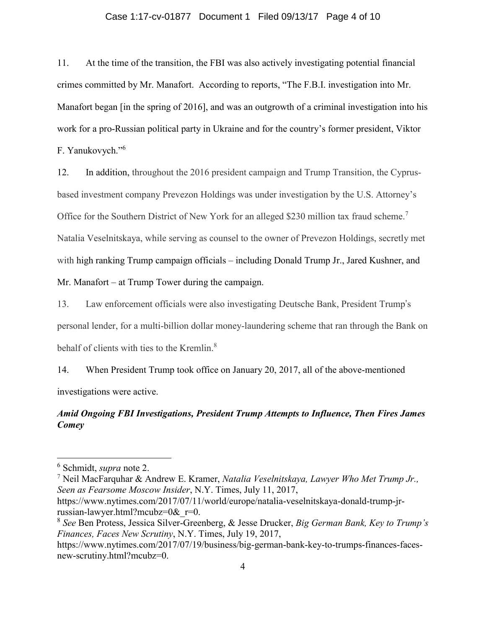#### Case 1:17-cv-01877 Document 1 Filed 09/13/17 Page 4 of 10

11. At the time of the transition, the FBI was also actively investigating potential financial crimes committed by Mr. Manafort. According to reports, "The F.B.I. investigation into Mr. Manafort began [in the spring of 2016], and was an outgrowth of a criminal investigation into his work for a pro-Russian political party in Ukraine and for the country's former president, Viktor F. Yanukovych."<sup>6</sup>

12. In addition, throughout the 2016 president campaign and Trump Transition, the Cyprusbased investment company Prevezon Holdings was under investigation by the U.S. Attorney's Office for the Southern District of New York for an alleged \$230 million tax fraud scheme.<sup>7</sup> Natalia Veselnitskaya, while serving as counsel to the owner of Prevezon Holdings, secretly met with high ranking Trump campaign officials – including Donald Trump Jr., Jared Kushner, and Mr. Manafort – at Trump Tower during the campaign.

13. Law enforcement officials were also investigating Deutsche Bank, President Trump's personal lender, for a multi-billion dollar money-laundering scheme that ran through the Bank on behalf of clients with ties to the Kremlin.<sup>8</sup>

14. When President Trump took office on January 20, 2017, all of the above-mentioned investigations were active.

# *Amid Ongoing FBI Investigations, President Trump Attempts to Influence, Then Fires James Comey*

 $\overline{a}$ 

<sup>7</sup> Neil MacFarquhar & Andrew E. Kramer, *Natalia Veselnitskaya, Lawyer Who Met Trump Jr., Seen as Fearsome Moscow Insider*, N.Y. Times, July 11, 2017,

https://www.nytimes.com/2017/07/11/world/europe/natalia-veselnitskaya-donald-trump-jrrussian-lawyer.html?mcubz=0&\_r=0.

<sup>6</sup> Schmidt, *supra* note 2.

<sup>8</sup> *See* Ben Protess, Jessica Silver-Greenberg, & Jesse Drucker, *Big German Bank, Key to Trump's Finances, Faces New Scrutiny*, N.Y. Times, July 19, 2017,

https://www.nytimes.com/2017/07/19/business/big-german-bank-key-to-trumps-finances-facesnew-scrutiny.html?mcubz=0.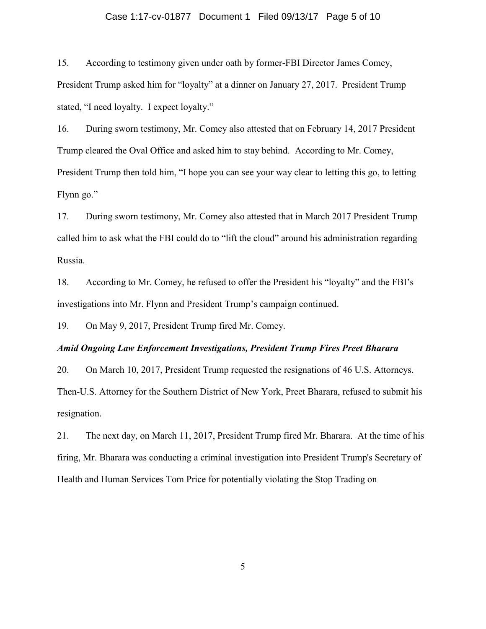#### Case 1:17-cv-01877 Document 1 Filed 09/13/17 Page 5 of 10

15. According to testimony given under oath by former-FBI Director James Comey, President Trump asked him for "loyalty" at a dinner on January 27, 2017. President Trump stated, "I need loyalty. I expect loyalty."

16. During sworn testimony, Mr. Comey also attested that on February 14, 2017 President Trump cleared the Oval Office and asked him to stay behind. According to Mr. Comey, President Trump then told him, "I hope you can see your way clear to letting this go, to letting Flynn go."

17. During sworn testimony, Mr. Comey also attested that in March 2017 President Trump called him to ask what the FBI could do to "lift the cloud" around his administration regarding Russia.

18. According to Mr. Comey, he refused to offer the President his "loyalty" and the FBI's investigations into Mr. Flynn and President Trump's campaign continued.

19. On May 9, 2017, President Trump fired Mr. Comey.

## *Amid Ongoing Law Enforcement Investigations, President Trump Fires Preet Bharara*

20. On March 10, 2017, President Trump requested the resignations of 46 U.S. Attorneys. Then-U.S. Attorney for the Southern District of New York, Preet Bharara, refused to submit his resignation.

21. The next day, on March 11, 2017, President Trump fired Mr. Bharara. At the time of his firing, Mr. Bharara was conducting a criminal investigation into President Trump's Secretary of Health and Human Services Tom Price for potentially violating the Stop Trading on

5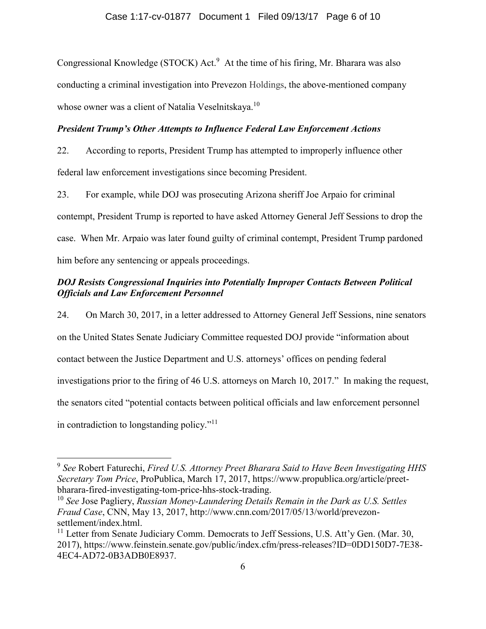Congressional Knowledge (STOCK) Act.<sup>9</sup> At the time of his firing, Mr. Bharara was also conducting a criminal investigation into Prevezon Holdings, the above-mentioned company whose owner was a client of Natalia Veselnitskaya.<sup>10</sup>

## *President Trump's Other Attempts to Influence Federal Law Enforcement Actions*

22. According to reports, President Trump has attempted to improperly influence other federal law enforcement investigations since becoming President.

23. For example, while DOJ was prosecuting Arizona sheriff Joe Arpaio for criminal contempt, President Trump is reported to have asked Attorney General Jeff Sessions to drop the case. When Mr. Arpaio was later found guilty of criminal contempt, President Trump pardoned him before any sentencing or appeals proceedings.

# *DOJ Resists Congressional Inquiries into Potentially Improper Contacts Between Political Officials and Law Enforcement Personnel*

24. On March 30, 2017, in a letter addressed to Attorney General Jeff Sessions, nine senators on the United States Senate Judiciary Committee requested DOJ provide "information about contact between the Justice Department and U.S. attorneys' offices on pending federal investigations prior to the firing of 46 U.S. attorneys on March 10, 2017." In making the request, the senators cited "potential contacts between political officials and law enforcement personnel in contradiction to longstanding policy."<sup>11</sup>

 $\overline{a}$ 

<sup>9</sup> *See* Robert Faturechi, *Fired U.S. Attorney Preet Bharara Said to Have Been Investigating HHS Secretary Tom Price*, ProPublica, March 17, 2017, https://www.propublica.org/article/preetbharara-fired-investigating-tom-price-hhs-stock-trading.

<sup>10</sup> *See* Jose Pagliery, *Russian Money-Laundering Details Remain in the Dark as U.S. Settles Fraud Case*, CNN, May 13, 2017, http://www.cnn.com/2017/05/13/world/prevezonsettlement/index.html.

<sup>&</sup>lt;sup>11</sup> Letter from Senate Judiciary Comm. Democrats to Jeff Sessions, U.S. Att'y Gen. (Mar. 30, 2017), https://www.feinstein.senate.gov/public/index.cfm/press-releases?ID=0DD150D7-7E38- 4EC4-AD72-0B3ADB0E8937.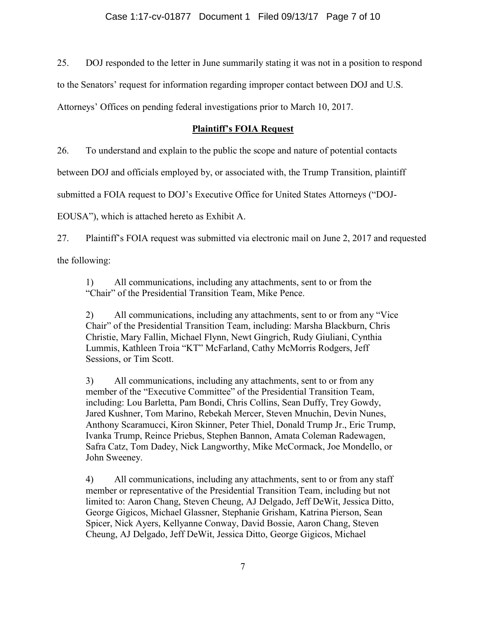25. DOJ responded to the letter in June summarily stating it was not in a position to respond

to the Senators' request for information regarding improper contact between DOJ and U.S.

Attorneys' Offices on pending federal investigations prior to March 10, 2017.

# **Plaintiff's FOIA Request**

26. To understand and explain to the public the scope and nature of potential contacts

between DOJ and officials employed by, or associated with, the Trump Transition, plaintiff

submitted a FOIA request to DOJ's Executive Office for United States Attorneys ("DOJ-

EOUSA"), which is attached hereto as Exhibit A.

27. Plaintiff's FOIA request was submitted via electronic mail on June 2, 2017 and requested the following:

1) All communications, including any attachments, sent to or from the "Chair" of the Presidential Transition Team, Mike Pence.

2) All communications, including any attachments, sent to or from any "Vice Chair" of the Presidential Transition Team, including: Marsha Blackburn, Chris Christie, Mary Fallin, Michael Flynn, Newt Gingrich, Rudy Giuliani, Cynthia Lummis, Kathleen Troia "KT" McFarland, Cathy McMorris Rodgers, Jeff Sessions, or Tim Scott.

3) All communications, including any attachments, sent to or from any member of the "Executive Committee" of the Presidential Transition Team, including: Lou Barletta, Pam Bondi, Chris Collins, Sean Duffy, Trey Gowdy, Jared Kushner, Tom Marino, Rebekah Mercer, Steven Mnuchin, Devin Nunes, Anthony Scaramucci, Kiron Skinner, Peter Thiel, Donald Trump Jr., Eric Trump, Ivanka Trump, Reince Priebus, Stephen Bannon, Amata Coleman Radewagen, Safra Catz, Tom Dadey, Nick Langworthy, Mike McCormack, Joe Mondello, or John Sweeney.

4) All communications, including any attachments, sent to or from any staff member or representative of the Presidential Transition Team, including but not limited to: Aaron Chang, Steven Cheung, AJ Delgado, Jeff DeWit, Jessica Ditto, George Gigicos, Michael Glassner, Stephanie Grisham, Katrina Pierson, Sean Spicer, Nick Ayers, Kellyanne Conway, David Bossie, Aaron Chang, Steven Cheung, AJ Delgado, Jeff DeWit, Jessica Ditto, George Gigicos, Michael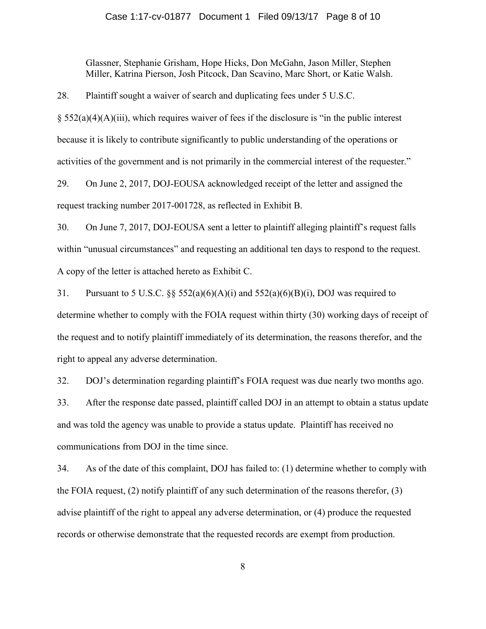#### Case 1:17-cv-01877 Document 1 Filed 09/13/17 Page 8 of 10

Glassner, Stephanie Grisham, Hope Hicks, Don McGahn, Jason Miller, Stephen Miller, Katrina Pierson, Josh Pitcock, Dan Scavino, Marc Short, or Katie Walsh.

28. Plaintiff sought a waiver of search and duplicating fees under 5 U.S.C.

 $\S$  552(a)(4)(A)(iii), which requires waiver of fees if the disclosure is "in the public interest because it is likely to contribute significantly to public understanding of the operations or activities of the government and is not primarily in the commercial interest of the requester."

29. On June 2, 2017, DOJ-EOUSA acknowledged receipt of the letter and assigned the request tracking number 2017-001728, as reflected in Exhibit B.

30. On June 7, 2017, DOJ-EOUSA sent a letter to plaintiff alleging plaintiff's request falls within "unusual circumstances" and requesting an additional ten days to respond to the request. A copy of the letter is attached hereto as Exhibit C.

31. Pursuant to 5 U.S.C.  $\&$  552(a)(6)(A)(i) and 552(a)(6)(B)(i), DOJ was required to determine whether to comply with the FOIA request within thirty (30) working days of receipt of the request and to notify plaintiff immediately of its determination, the reasons therefor, and the right to appeal any adverse determination.

32. DOJ's determination regarding plaintiff's FOIA request was due nearly two months ago.

33. After the response date passed, plaintiff called DOJ in an attempt to obtain a status update and was told the agency was unable to provide a status update. Plaintiff has received no communications from DOJ in the time since.

34. As of the date of this complaint, DOJ has failed to: (1) determine whether to comply with the FOIA request, (2) notify plaintiff of any such determination of the reasons therefor, (3) advise plaintiff of the right to appeal any adverse determination, or (4) produce the requested records or otherwise demonstrate that the requested records are exempt from production.

8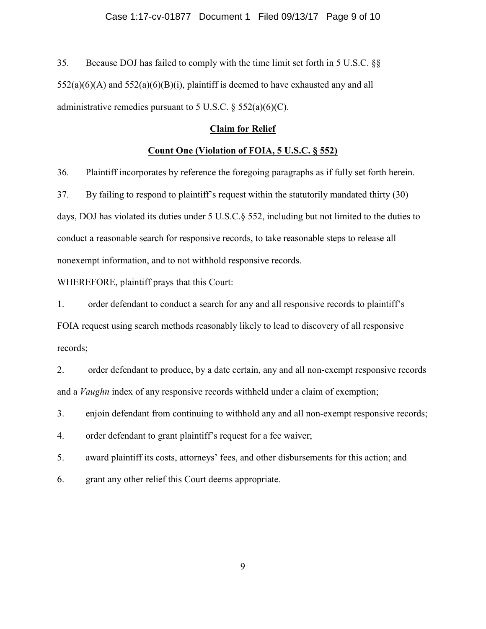35. Because DOJ has failed to comply with the time limit set forth in 5 U.S.C. §§  $552(a)(6)(A)$  and  $552(a)(6)(B)(i)$ , plaintiff is deemed to have exhausted any and all administrative remedies pursuant to 5 U.S.C.  $\S$  552(a)(6)(C).

## **Claim for Relief**

# **Count One (Violation of FOIA, 5 U.S.C. § 552)**

36. Plaintiff incorporates by reference the foregoing paragraphs as if fully set forth herein.

37. By failing to respond to plaintiff's request within the statutorily mandated thirty (30) days, DOJ has violated its duties under 5 U.S.C.§ 552, including but not limited to the duties to conduct a reasonable search for responsive records, to take reasonable steps to release all nonexempt information, and to not withhold responsive records.

WHEREFORE, plaintiff prays that this Court:

1. order defendant to conduct a search for any and all responsive records to plaintiff's FOIA request using search methods reasonably likely to lead to discovery of all responsive records;

2. order defendant to produce, by a date certain, any and all non-exempt responsive records and a *Vaughn* index of any responsive records withheld under a claim of exemption;

3. enjoin defendant from continuing to withhold any and all non-exempt responsive records;

4. order defendant to grant plaintiff's request for a fee waiver;

5. award plaintiff its costs, attorneys' fees, and other disbursements for this action; and

6. grant any other relief this Court deems appropriate.

9